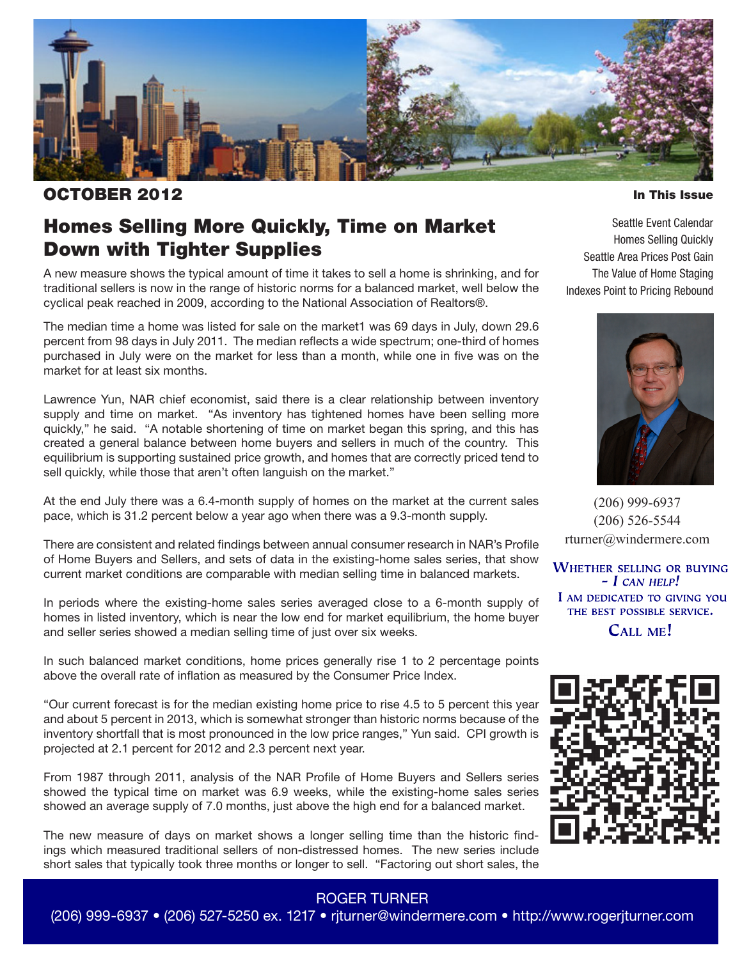

### OCTOBER 2012

In This Issue

## Homes Selling More Quickly, Time on Market Down with Tighter Supplies

A new measure shows the typical amount of time it takes to sell a home is shrinking, and for traditional sellers is now in the range of historic norms for a balanced market, well below the cyclical peak reached in 2009, according to the National Association of Realtors®.

The median time a home was listed for sale on the market1 was 69 days in July, down 29.6 percent from 98 days in July 2011. The median reflects a wide spectrum; one-third of homes purchased in July were on the market for less than a month, while one in five was on the market for at least six months.

Lawrence Yun, NAR chief economist, said there is a clear relationship between inventory supply and time on market. "As inventory has tightened homes have been selling more quickly," he said. "A notable shortening of time on market began this spring, and this has created a general balance between home buyers and sellers in much of the country. This equilibrium is supporting sustained price growth, and homes that are correctly priced tend to sell quickly, while those that aren't often languish on the market."

At the end July there was a 6.4-month supply of homes on the market at the current sales pace, which is 31.2 percent below a year ago when there was a 9.3-month supply.

There are consistent and related findings between annual consumer research in NAR's Profile of Home Buyers and Sellers, and sets of data in the existing-home sales series, that show current market conditions are comparable with median selling time in balanced markets.

In periods where the existing-home sales series averaged close to a 6-month supply of homes in listed inventory, which is near the low end for market equilibrium, the home buyer and seller series showed a median selling time of just over six weeks.

In such balanced market conditions, home prices generally rise 1 to 2 percentage points above the overall rate of inflation as measured by the Consumer Price Index.

"Our current forecast is for the median existing home price to rise 4.5 to 5 percent this year and about 5 percent in 2013, which is somewhat stronger than historic norms because of the inventory shortfall that is most pronounced in the low price ranges," Yun said. CPI growth is projected at 2.1 percent for 2012 and 2.3 percent next year.

From 1987 through 2011, analysis of the NAR Profile of Home Buyers and Sellers series showed the typical time on market was 6.9 weeks, while the existing-home sales series showed an average supply of 7.0 months, just above the high end for a balanced market.

The new measure of days on market shows a longer selling time than the historic findings which measured traditional sellers of non-distressed homes. The new series include short sales that typically took three months or longer to sell. "Factoring out short sales, the

Seattle Event Calendar Homes Selling Quickly Seattle Area Prices Post Gain The Value of Home Staging Indexes Point to Pricing Rebound



(206) 999-6937 (206) 526-5544 rturner@windermere.com

**WHETHER SELLING OR BUYING**  $-$  I CAN HELP! I AM DEDICATED TO GIVING YOU THE BEST POSSIBLE SERVICE. CALL ME!



### ROGER TURNER

(206) 999-6937 • (206) 527-5250 ex. 1217 • rjturner@windermere.com • http://www.rogerjturner.com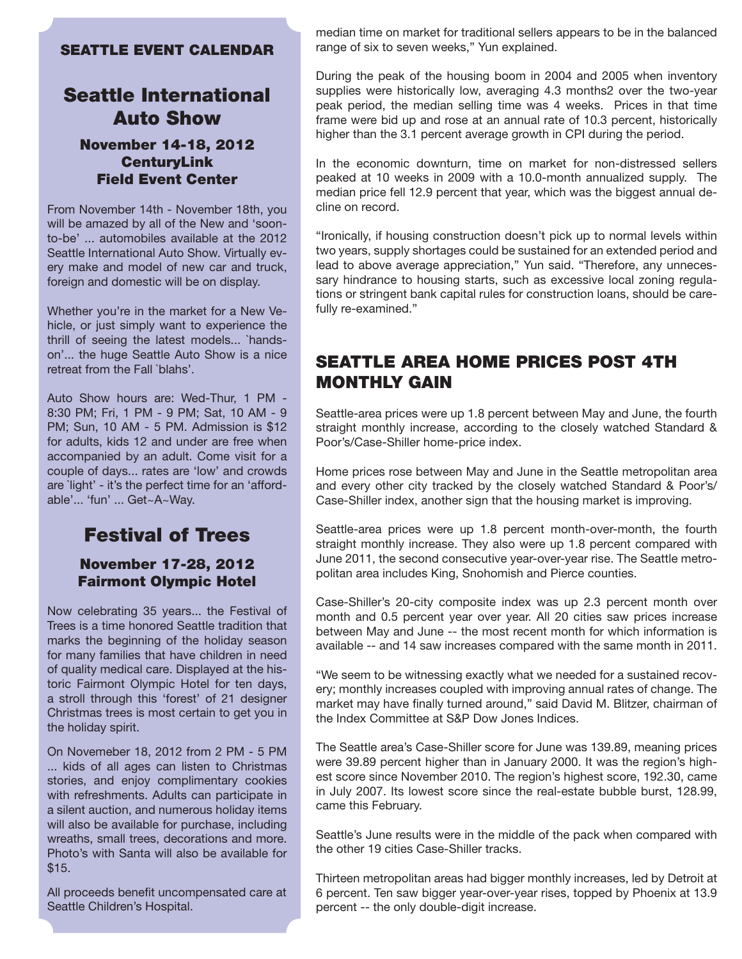#### SEATTLE EVENT CALENDAR

### Seattle International Auto Show

### November 14-18, 2012 **CenturyLink** Field Event Center

From November 14th - November 18th, you will be amazed by all of the New and 'soonto-be' ... automobiles available at the 2012 Seattle International Auto Show. Virtually every make and model of new car and truck, foreign and domestic will be on display.

Whether you're in the market for a New Vehicle, or just simply want to experience the thrill of seeing the latest models... `handson'... the huge Seattle Auto Show is a nice retreat from the Fall `blahs'.

Auto Show hours are: Wed-Thur, 1 PM - 8:30 PM; Fri, 1 PM - 9 PM; Sat, 10 AM - 9 PM; Sun, 10 AM - 5 PM. Admission is \$12 for adults, kids 12 and under are free when accompanied by an adult. Come visit for a couple of days... rates are 'low' and crowds are `light' - it's the perfect time for an 'affordable'... 'fun' ... Get~A~Way.

# Festival of Trees

November 17-28, 2012 Fairmont Olympic Hotel

Now celebrating 35 years... the Festival of Trees is a time honored Seattle tradition that marks the beginning of the holiday season for many families that have children in need of quality medical care. Displayed at the historic Fairmont Olympic Hotel for ten days, a stroll through this 'forest' of 21 designer Christmas trees is most certain to get you in the holiday spirit.

On Novemeber 18, 2012 from 2 PM - 5 PM ... kids of all ages can listen to Christmas stories, and enjoy complimentary cookies with refreshments. Adults can participate in a silent auction, and numerous holiday items will also be available for purchase, including wreaths, small trees, decorations and more. Photo's with Santa will also be available for \$15.

All proceeds benefit uncompensated care at Seattle Children's Hospital.

median time on market for traditional sellers appears to be in the balanced range of six to seven weeks," Yun explained.

During the peak of the housing boom in 2004 and 2005 when inventory supplies were historically low, averaging 4.3 months2 over the two-year peak period, the median selling time was 4 weeks. Prices in that time frame were bid up and rose at an annual rate of 10.3 percent, historically higher than the 3.1 percent average growth in CPI during the period.

In the economic downturn, time on market for non-distressed sellers peaked at 10 weeks in 2009 with a 10.0-month annualized supply. The median price fell 12.9 percent that year, which was the biggest annual decline on record.

"Ironically, if housing construction doesn't pick up to normal levels within two years, supply shortages could be sustained for an extended period and lead to above average appreciation," Yun said. "Therefore, any unnecessary hindrance to housing starts, such as excessive local zoning regulations or stringent bank capital rules for construction loans, should be carefully re-examined."

### SEATTLE AREA HOME PRICES POST 4TH MONTHLY GAIN

Seattle-area prices were up 1.8 percent between May and June, the fourth straight monthly increase, according to the closely watched Standard & Poor's/Case-Shiller home-price index.

Home prices rose between May and June in the Seattle metropolitan area and every other city tracked by the closely watched Standard & Poor's/ Case-Shiller index, another sign that the housing market is improving.

Seattle-area prices were up 1.8 percent month-over-month, the fourth straight monthly increase. They also were up 1.8 percent compared with June 2011, the second consecutive year-over-year rise. The Seattle metropolitan area includes King, Snohomish and Pierce counties.

Case-Shiller's 20-city composite index was up 2.3 percent month over month and 0.5 percent year over year. All 20 cities saw prices increase between May and June -- the most recent month for which information is available -- and 14 saw increases compared with the same month in 2011.

"We seem to be witnessing exactly what we needed for a sustained recovery; monthly increases coupled with improving annual rates of change. The market may have finally turned around," said David M. Blitzer, chairman of the Index Committee at S&P Dow Jones Indices.

The Seattle area's Case-Shiller score for June was 139.89, meaning prices were 39.89 percent higher than in January 2000. It was the region's highest score since November 2010. The region's highest score, 192.30, came in July 2007. Its lowest score since the real-estate bubble burst, 128.99, came this February.

Seattle's June results were in the middle of the pack when compared with the other 19 cities Case-Shiller tracks.

Thirteen metropolitan areas had bigger monthly increases, led by Detroit at 6 percent. Ten saw bigger year-over-year rises, topped by Phoenix at 13.9 percent -- the only double-digit increase.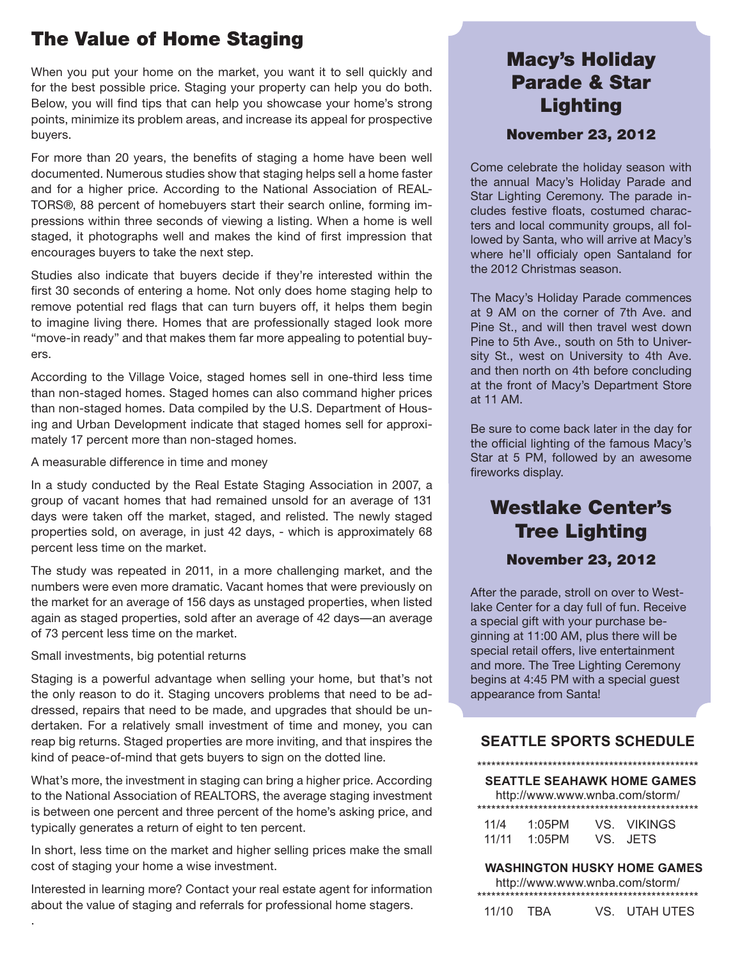# The Value of Home Staging

When you put your home on the market, you want it to sell quickly and for the best possible price. Staging your property can help you do both. Below, you will find tips that can help you showcase your home's strong points, minimize its problem areas, and increase its appeal for prospective buyers.

For more than 20 years, the benefits of staging a home have been well documented. Numerous studies show that staging helps sell a home faster and for a higher price. According to the National Association of REAL-TORS®, 88 percent of homebuyers start their search online, forming impressions within three seconds of viewing a listing. When a home is well staged, it photographs well and makes the kind of first impression that encourages buyers to take the next step.

Studies also indicate that buyers decide if they're interested within the first 30 seconds of entering a home. Not only does home staging help to remove potential red flags that can turn buyers off, it helps them begin to imagine living there. Homes that are professionally staged look more "move-in ready" and that makes them far more appealing to potential buyers.

According to the Village Voice, staged homes sell in one-third less time than non-staged homes. Staged homes can also command higher prices than non-staged homes. Data compiled by the U.S. Department of Housing and Urban Development indicate that staged homes sell for approximately 17 percent more than non-staged homes.

A measurable difference in time and money

In a study conducted by the Real Estate Staging Association in 2007, a group of vacant homes that had remained unsold for an average of 131 days were taken off the market, staged, and relisted. The newly staged properties sold, on average, in just 42 days, - which is approximately 68 percent less time on the market.

The study was repeated in 2011, in a more challenging market, and the numbers were even more dramatic. Vacant homes that were previously on the market for an average of 156 days as unstaged properties, when listed again as staged properties, sold after an average of 42 days—an average of 73 percent less time on the market.

Small investments, big potential returns

.

Staging is a powerful advantage when selling your home, but that's not the only reason to do it. Staging uncovers problems that need to be addressed, repairs that need to be made, and upgrades that should be undertaken. For a relatively small investment of time and money, you can reap big returns. Staged properties are more inviting, and that inspires the kind of peace-of-mind that gets buyers to sign on the dotted line.

What's more, the investment in staging can bring a higher price. According to the National Association of REALTORS, the average staging investment is between one percent and three percent of the home's asking price, and typically generates a return of eight to ten percent.

In short, less time on the market and higher selling prices make the small cost of staging your home a wise investment.

Interested in learning more? Contact your real estate agent for information about the value of staging and referrals for professional home stagers.

## Macy's Holiday Parade & Star Lighting

### November 23, 2012

Come celebrate the holiday season with the annual Macy's Holiday Parade and Star Lighting Ceremony. The parade includes festive floats, costumed characters and local community groups, all followed by Santa, who will arrive at Macy's where he'll officialy open Santaland for the 2012 Christmas season.

The Macy's Holiday Parade commences at 9 AM on the corner of 7th Ave. and Pine St., and will then travel west down Pine to 5th Ave., south on 5th to University St., west on University to 4th Ave. and then north on 4th before concluding at the front of Macy's Department Store at 11 AM.

Be sure to come back later in the day for the official lighting of the famous Macy's Star at 5 PM, followed by an awesome fireworks display.

## Westlake Center's Tree Lighting November 23, 2012

After the parade, stroll on over to Westlake Center for a day full of fun. Receive a special gift with your purchase beginning at 11:00 AM, plus there will be special retail offers, live entertainment and more. The Tree Lighting Ceremony begins at 4:45 PM with a special guest appearance from Santa!

### **SEATTLE SPORTS SCHEDULE**

#### \*\*\*\*\*\*\*\*\*\*\*\*\*\*\*\*\*\*\*\*\*\*\*\*\*\*\*\*\*\*\*\*\*\*\*\*\*\*\*\*\*\*\*\*\*\*\* **SEATTLE SEAHAWK HOME GAMES**

http://www.www.wnba.com/storm/ \*\*\*\*\*\*\*\*\*\*\*\*\*\*\*\*\*\*\*\*\*\*\*\*\*\*\*\*\*\*\*\*\*\*\*\*\*\*\*\*\*\*\*\*\*\*\*

| 11/4  | 1:05PM | VS VIKINGS |
|-------|--------|------------|
| 11/11 | 1:05PM | VS. JETS   |

#### **WASHINGTON HUSKY HOME GAMES**

http://www.www.wnba.com/storm/ \*\*\*\*\*\*\*\*\*\*\*\*\*\*\*\*\*\*\*\*\*\*\*\*\*\*\*\*\*\*\*\*\*\*\*\*\*\*\*\*\*\*\*\*\*\*\*

| 11/10 TBA | VS. UTAH UTES |  |
|-----------|---------------|--|
|-----------|---------------|--|